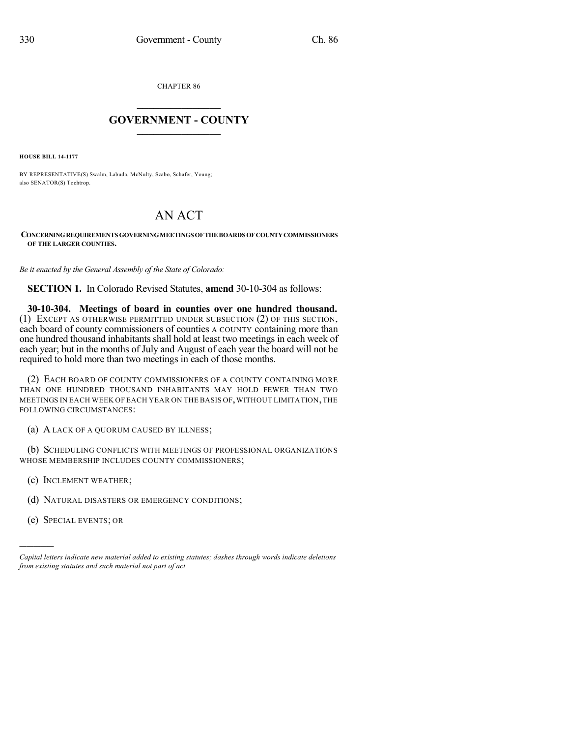CHAPTER 86

## $\mathcal{L}_\text{max}$  . The set of the set of the set of the set of the set of the set of the set of the set of the set of the set of the set of the set of the set of the set of the set of the set of the set of the set of the set **GOVERNMENT - COUNTY**  $\_$

**HOUSE BILL 14-1177**

BY REPRESENTATIVE(S) Swalm, Labuda, McNulty, Szabo, Schafer, Young; also SENATOR(S) Tochtrop.

## AN ACT

## **CONCERNINGREQUIREMENTS GOVERNINGMEETINGSOFTHEBOARDS OFCOUNTYCOMMISSIONERS OF THE LARGER COUNTIES.**

*Be it enacted by the General Assembly of the State of Colorado:*

**SECTION 1.** In Colorado Revised Statutes, **amend** 30-10-304 as follows:

**30-10-304. Meetings of board in counties over one hundred thousand.** (1) EXCEPT AS OTHERWISE PERMITTED UNDER SUBSECTION (2) OF THIS SECTION, each board of county commissioners of counties A COUNTY containing more than one hundred thousand inhabitants shall hold at least two meetings in each week of each year; but in the months of July and August of each year the board will not be required to hold more than two meetings in each of those months.

(2) EACH BOARD OF COUNTY COMMISSIONERS OF A COUNTY CONTAINING MORE THAN ONE HUNDRED THOUSAND INHABITANTS MAY HOLD FEWER THAN TWO MEETINGS IN EACH WEEK OF EACH YEAR ON THE BASIS OF,WITHOUT LIMITATION,THE FOLLOWING CIRCUMSTANCES:

(a) A LACK OF A QUORUM CAUSED BY ILLNESS;

(b) SCHEDULING CONFLICTS WITH MEETINGS OF PROFESSIONAL ORGANIZATIONS WHOSE MEMBERSHIP INCLUDES COUNTY COMMISSIONERS;

- (c) INCLEMENT WEATHER;
- (d) NATURAL DISASTERS OR EMERGENCY CONDITIONS;
- (e) SPECIAL EVENTS; OR

)))))

*Capital letters indicate new material added to existing statutes; dashes through words indicate deletions from existing statutes and such material not part of act.*